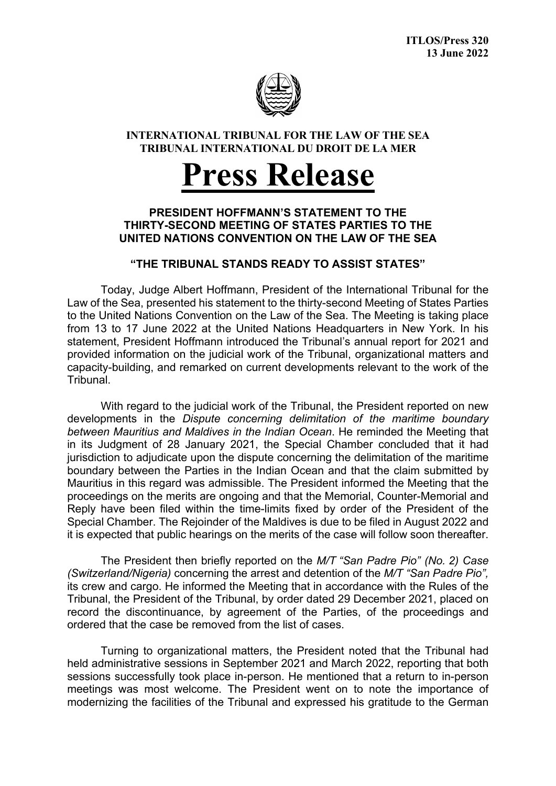

## **INTERNATIONAL TRIBUNAL FOR THE LAW OF THE SEA TRIBUNAL INTERNATIONAL DU DROIT DE LA MER**

## **Press Release**

## **PRESIDENT HOFFMANN'S STATEMENT TO THE THIRTY-SECOND MEETING OF STATES PARTIES TO THE UNITED NATIONS CONVENTION ON THE LAW OF THE SEA**

## **"THE TRIBUNAL STANDS READY TO ASSIST STATES"**

Today, Judge Albert Hoffmann, President of the International Tribunal for the Law of the Sea, presented his statement to the thirty-second Meeting of States Parties to the United Nations Convention on the Law of the Sea. The Meeting is taking place from 13 to 17 June 2022 at the United Nations Headquarters in New York. In his statement, President Hoffmann introduced the Tribunal's annual report for 2021 and provided information on the judicial work of the Tribunal, organizational matters and capacity-building, and remarked on current developments relevant to the work of the Tribunal.

With regard to the judicial work of the Tribunal, the President reported on new developments in the *Dispute concerning delimitation of the maritime boundary between Mauritius and Maldives in the Indian Ocean*. He reminded the Meeting that in its Judgment of 28 January 2021, the Special Chamber concluded that it had jurisdiction to adjudicate upon the dispute concerning the delimitation of the maritime boundary between the Parties in the Indian Ocean and that the claim submitted by Mauritius in this regard was admissible. The President informed the Meeting that the proceedings on the merits are ongoing and that the Memorial, Counter-Memorial and Reply have been filed within the time-limits fixed by order of the President of the Special Chamber. The Rejoinder of the Maldives is due to be filed in August 2022 and it is expected that public hearings on the merits of the case will follow soon thereafter.

The President then briefly reported on the *M/T "San Padre Pio" (No. 2) Case (Switzerland/Nigeria)* concerning the arrest and detention of the *M/T "San Padre Pio",* its crew and cargo. He informed the Meeting that in accordance with the Rules of the Tribunal, the President of the Tribunal, by order dated 29 December 2021, placed on record the discontinuance, by agreement of the Parties, of the proceedings and ordered that the case be removed from the list of cases.

Turning to organizational matters, the President noted that the Tribunal had held administrative sessions in September 2021 and March 2022, reporting that both sessions successfully took place in-person. He mentioned that a return to in-person meetings was most welcome. The President went on to note the importance of modernizing the facilities of the Tribunal and expressed his gratitude to the German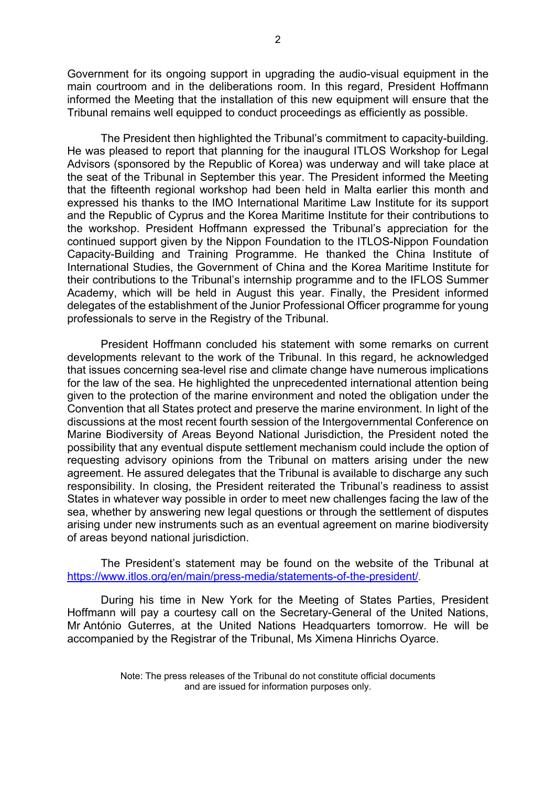Government for its ongoing support in upgrading the audio-visual equipment in the main courtroom and in the deliberations room. In this regard, President Hoffmann informed the Meeting that the installation of this new equipment will ensure that the Tribunal remains well equipped to conduct proceedings as efficiently as possible.

The President then highlighted the Tribunal's commitment to capacity-building. He was pleased to report that planning for the inaugural ITLOS Workshop for Legal Advisors (sponsored by the Republic of Korea) was underway and will take place at the seat of the Tribunal in September this year. The President informed the Meeting that the fifteenth regional workshop had been held in Malta earlier this month and expressed his thanks to the IMO International Maritime Law Institute for its support and the Republic of Cyprus and the Korea Maritime Institute for their contributions to the workshop. President Hoffmann expressed the Tribunal's appreciation for the continued support given by the Nippon Foundation to the ITLOS-Nippon Foundation Capacity-Building and Training Programme. He thanked the China Institute of International Studies, the Government of China and the Korea Maritime Institute for their contributions to the Tribunal's internship programme and to the IFLOS Summer Academy, which will be held in August this year. Finally, the President informed delegates of the establishment of the Junior Professional Officer programme for young professionals to serve in the Registry of the Tribunal.

President Hoffmann concluded his statement with some remarks on current developments relevant to the work of the Tribunal. In this regard, he acknowledged that issues concerning sea-level rise and climate change have numerous implications for the law of the sea. He highlighted the unprecedented international attention being given to the protection of the marine environment and noted the obligation under the Convention that all States protect and preserve the marine environment. In light of the discussions at the most recent fourth session of the Intergovernmental Conference on Marine Biodiversity of Areas Beyond National Jurisdiction, the President noted the possibility that any eventual dispute settlement mechanism could include the option of requesting advisory opinions from the Tribunal on matters arising under the new agreement. He assured delegates that the Tribunal is available to discharge any such responsibility. In closing, the President reiterated the Tribunal's readiness to assist States in whatever way possible in order to meet new challenges facing the law of the sea, whether by answering new legal questions or through the settlement of disputes arising under new instruments such as an eventual agreement on marine biodiversity of areas beyond national jurisdiction.

The President's statement may be found on the website of the Tribunal at <https://www.itlos.org/en/main/press-media/statements-of-the-president/>.

During his time in New York for the Meeting of States Parties, President Hoffmann will pay a courtesy call on the Secretary-General of the United Nations, Mr António Guterres, at the United Nations Headquarters tomorrow. He will be accompanied by the Registrar of the Tribunal, Ms Ximena Hinrichs Oyarce.